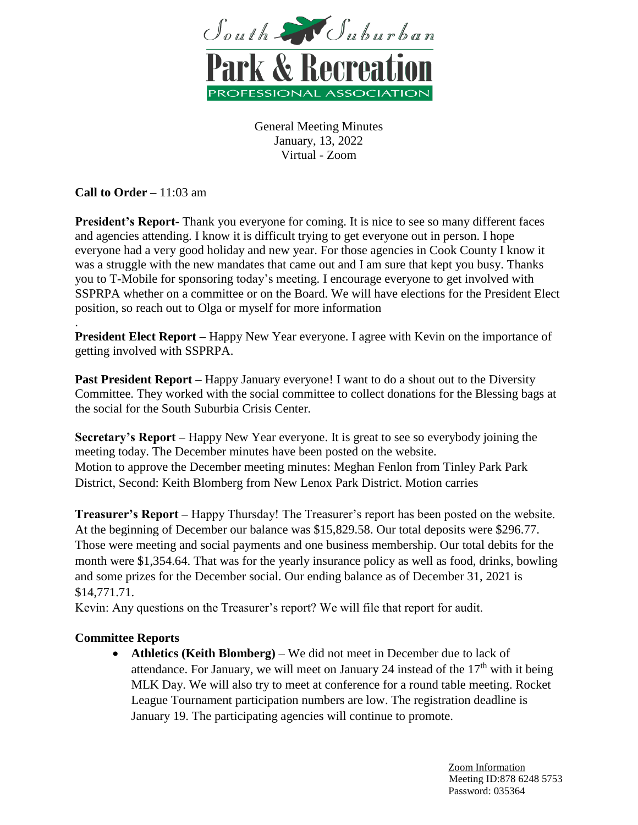

**Call to Order –** 11:03 am

**President's Report-** Thank you everyone for coming. It is nice to see so many different faces and agencies attending. I know it is difficult trying to get everyone out in person. I hope everyone had a very good holiday and new year. For those agencies in Cook County I know it was a struggle with the new mandates that came out and I am sure that kept you busy. Thanks you to T-Mobile for sponsoring today's meeting. I encourage everyone to get involved with SSPRPA whether on a committee or on the Board. We will have elections for the President Elect position, so reach out to Olga or myself for more information

. **President Elect Report** – Happy New Year everyone. I agree with Kevin on the importance of getting involved with SSPRPA.

**Past President Report** – Happy January everyone! I want to do a shout out to the Diversity Committee. They worked with the social committee to collect donations for the Blessing bags at the social for the South Suburbia Crisis Center.

**Secretary's Report –** Happy New Year everyone. It is great to see so everybody joining the meeting today. The December minutes have been posted on the website. Motion to approve the December meeting minutes: Meghan Fenlon from Tinley Park Park District, Second: Keith Blomberg from New Lenox Park District. Motion carries

**Treasurer's Report –** Happy Thursday! The Treasurer's report has been posted on the website. At the beginning of December our balance was \$15,829.58. Our total deposits were \$296.77. Those were meeting and social payments and one business membership. Our total debits for the month were \$1,354.64. That was for the yearly insurance policy as well as food, drinks, bowling and some prizes for the December social. Our ending balance as of December 31, 2021 is \$14,771.71.

Kevin: Any questions on the Treasurer's report? We will file that report for audit.

## **Committee Reports**

 **Athletics (Keith Blomberg)** – We did not meet in December due to lack of attendance. For January, we will meet on January 24 instead of the  $17<sup>th</sup>$  with it being MLK Day. We will also try to meet at conference for a round table meeting. Rocket League Tournament participation numbers are low. The registration deadline is January 19. The participating agencies will continue to promote.

> Zoom Information Meeting ID:878 6248 5753 Password: 035364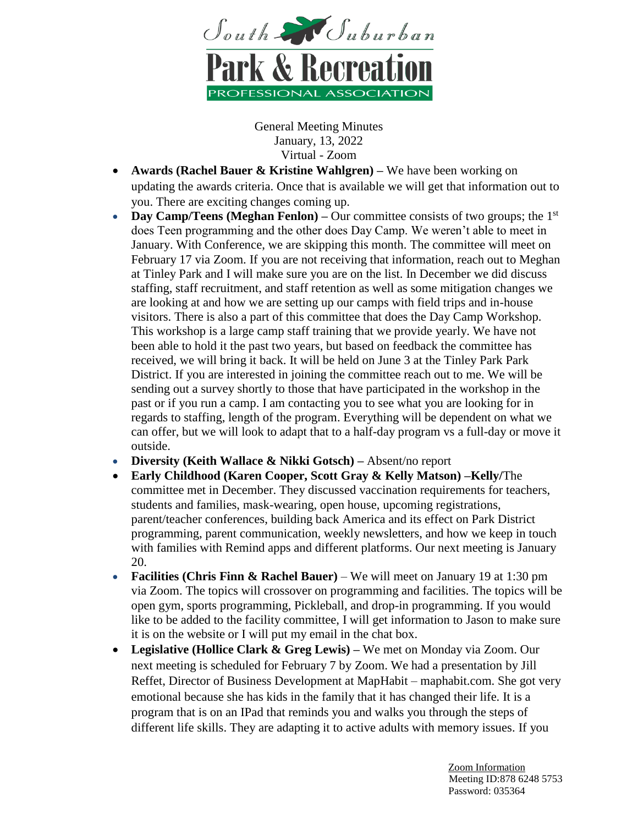

- **Awards (Rachel Bauer & Kristine Wahlgren)** We have been working on updating the awards criteria. Once that is available we will get that information out to you. There are exciting changes coming up.
- **Day Camp/Teens (Meghan Fenlon)** Our committee consists of two groups; the 1<sup>st</sup> does Teen programming and the other does Day Camp. We weren't able to meet in January. With Conference, we are skipping this month. The committee will meet on February 17 via Zoom. If you are not receiving that information, reach out to Meghan at Tinley Park and I will make sure you are on the list. In December we did discuss staffing, staff recruitment, and staff retention as well as some mitigation changes we are looking at and how we are setting up our camps with field trips and in-house visitors. There is also a part of this committee that does the Day Camp Workshop. This workshop is a large camp staff training that we provide yearly. We have not been able to hold it the past two years, but based on feedback the committee has received, we will bring it back. It will be held on June 3 at the Tinley Park Park District. If you are interested in joining the committee reach out to me. We will be sending out a survey shortly to those that have participated in the workshop in the past or if you run a camp. I am contacting you to see what you are looking for in regards to staffing, length of the program. Everything will be dependent on what we can offer, but we will look to adapt that to a half-day program vs a full-day or move it outside.
- **Diversity (Keith Wallace & Nikki Gotsch) –** Absent/no report
- **Early Childhood (Karen Cooper, Scott Gray & Kelly Matson) –Kelly/**The committee met in December. They discussed vaccination requirements for teachers, students and families, mask-wearing, open house, upcoming registrations, parent/teacher conferences, building back America and its effect on Park District programming, parent communication, weekly newsletters, and how we keep in touch with families with Remind apps and different platforms. Our next meeting is January 20.
- **Facilities (Chris Finn & Rachel Bauer)** We will meet on January 19 at 1:30 pm via Zoom. The topics will crossover on programming and facilities. The topics will be open gym, sports programming, Pickleball, and drop-in programming. If you would like to be added to the facility committee, I will get information to Jason to make sure it is on the website or I will put my email in the chat box.
- **Legislative (Hollice Clark & Greg Lewis) –** We met on Monday via Zoom. Our next meeting is scheduled for February 7 by Zoom. We had a presentation by Jill Reffet, Director of Business Development at MapHabit – maphabit.com. She got very emotional because she has kids in the family that it has changed their life. It is a program that is on an IPad that reminds you and walks you through the steps of different life skills. They are adapting it to active adults with memory issues. If you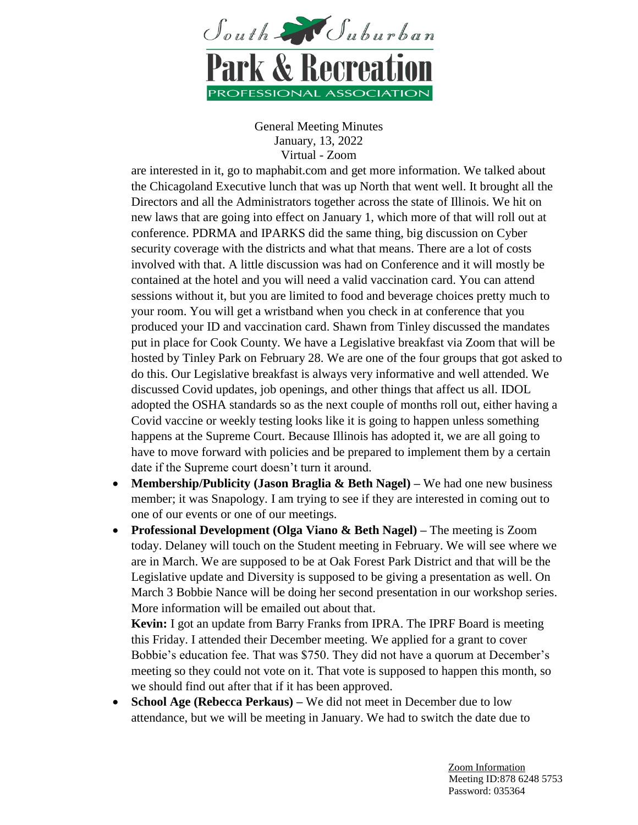

are interested in it, go to maphabit.com and get more information. We talked about the Chicagoland Executive lunch that was up North that went well. It brought all the Directors and all the Administrators together across the state of Illinois. We hit on new laws that are going into effect on January 1, which more of that will roll out at conference. PDRMA and IPARKS did the same thing, big discussion on Cyber security coverage with the districts and what that means. There are a lot of costs involved with that. A little discussion was had on Conference and it will mostly be contained at the hotel and you will need a valid vaccination card. You can attend sessions without it, but you are limited to food and beverage choices pretty much to your room. You will get a wristband when you check in at conference that you produced your ID and vaccination card. Shawn from Tinley discussed the mandates put in place for Cook County. We have a Legislative breakfast via Zoom that will be hosted by Tinley Park on February 28. We are one of the four groups that got asked to do this. Our Legislative breakfast is always very informative and well attended. We discussed Covid updates, job openings, and other things that affect us all. IDOL adopted the OSHA standards so as the next couple of months roll out, either having a Covid vaccine or weekly testing looks like it is going to happen unless something happens at the Supreme Court. Because Illinois has adopted it, we are all going to have to move forward with policies and be prepared to implement them by a certain date if the Supreme court doesn't turn it around.

- **Membership/Publicity (Jason Braglia & Beth Nagel) –** We had one new business member; it was Snapology. I am trying to see if they are interested in coming out to one of our events or one of our meetings.
- **Professional Development (Olga Viano & Beth Nagel) –** The meeting is Zoom today. Delaney will touch on the Student meeting in February. We will see where we are in March. We are supposed to be at Oak Forest Park District and that will be the Legislative update and Diversity is supposed to be giving a presentation as well. On March 3 Bobbie Nance will be doing her second presentation in our workshop series. More information will be emailed out about that.

**Kevin:** I got an update from Barry Franks from IPRA. The IPRF Board is meeting this Friday. I attended their December meeting. We applied for a grant to cover Bobbie's education fee. That was \$750. They did not have a quorum at December's meeting so they could not vote on it. That vote is supposed to happen this month, so we should find out after that if it has been approved.

• **School Age (Rebecca Perkaus)** – We did not meet in December due to low attendance, but we will be meeting in January. We had to switch the date due to

> Zoom Information Meeting ID:878 6248 5753 Password: 035364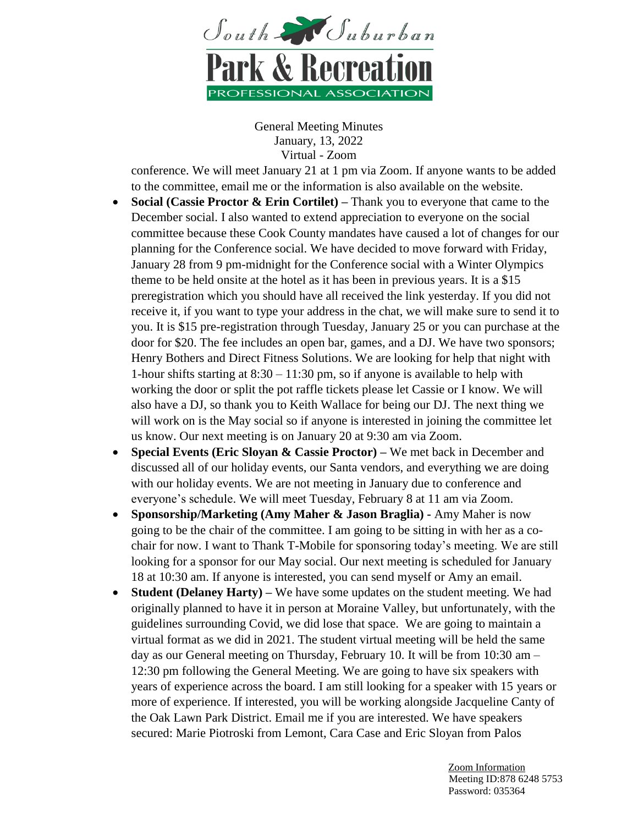

conference. We will meet January 21 at 1 pm via Zoom. If anyone wants to be added to the committee, email me or the information is also available on the website.

- **Social (Cassie Proctor & Erin Cortilet) –** Thank you to everyone that came to the December social. I also wanted to extend appreciation to everyone on the social committee because these Cook County mandates have caused a lot of changes for our planning for the Conference social. We have decided to move forward with Friday, January 28 from 9 pm-midnight for the Conference social with a Winter Olympics theme to be held onsite at the hotel as it has been in previous years. It is a \$15 preregistration which you should have all received the link yesterday. If you did not receive it, if you want to type your address in the chat, we will make sure to send it to you. It is \$15 pre-registration through Tuesday, January 25 or you can purchase at the door for \$20. The fee includes an open bar, games, and a DJ. We have two sponsors; Henry Bothers and Direct Fitness Solutions. We are looking for help that night with 1-hour shifts starting at 8:30 – 11:30 pm, so if anyone is available to help with working the door or split the pot raffle tickets please let Cassie or I know. We will also have a DJ, so thank you to Keith Wallace for being our DJ. The next thing we will work on is the May social so if anyone is interested in joining the committee let us know. Our next meeting is on January 20 at 9:30 am via Zoom.
- **Special Events (Eric Sloyan & Cassie Proctor) –** We met back in December and discussed all of our holiday events, our Santa vendors, and everything we are doing with our holiday events. We are not meeting in January due to conference and everyone's schedule. We will meet Tuesday, February 8 at 11 am via Zoom.
- **Sponsorship/Marketing (Amy Maher & Jason Braglia) -** Amy Maher is now going to be the chair of the committee. I am going to be sitting in with her as a cochair for now. I want to Thank T-Mobile for sponsoring today's meeting. We are still looking for a sponsor for our May social. Our next meeting is scheduled for January 18 at 10:30 am. If anyone is interested, you can send myself or Amy an email.
- **Student (Delaney Harty) –** We have some updates on the student meeting. We had originally planned to have it in person at Moraine Valley, but unfortunately, with the guidelines surrounding Covid, we did lose that space. We are going to maintain a virtual format as we did in 2021. The student virtual meeting will be held the same day as our General meeting on Thursday, February 10. It will be from 10:30 am – 12:30 pm following the General Meeting. We are going to have six speakers with years of experience across the board. I am still looking for a speaker with 15 years or more of experience. If interested, you will be working alongside Jacqueline Canty of the Oak Lawn Park District. Email me if you are interested. We have speakers secured: Marie Piotroski from Lemont, Cara Case and Eric Sloyan from Palos

 Zoom Information Meeting ID:878 6248 5753 Password: 035364